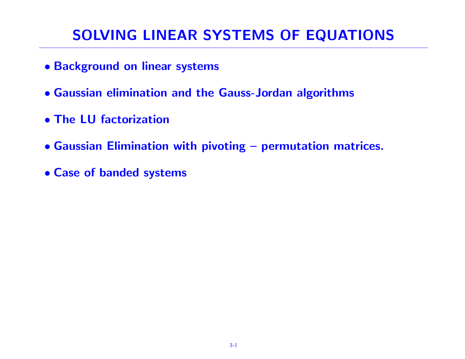# SOLVING LINEAR SYSTEMS OF EQUATIONS

- Background on linear systems
- Gaussian elimination and the Gauss-Jordan algorithms
- The LU factorization
- Gaussian Elimination with pivoting permutation matrices.
- Case of banded systems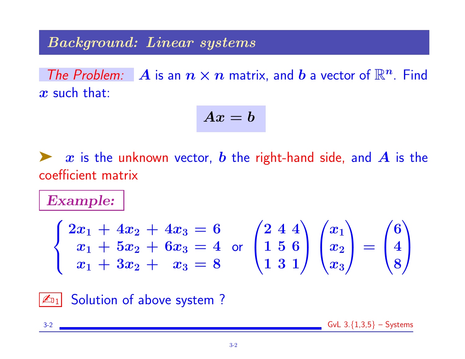### Background: Linear systems

The Problem: A is an  $n \times n$  matrix, and b a vector of  $\mathbb{R}^n$ . Find  $x$  such that:

$$
Ax=b
$$

x is the unknown vector, b the right-hand side, and  $\bm{A}$  is the coefficient matrix

Example:

$$
\begin{cases} 2x_1 + 4x_2 + 4x_3 = 6 \\ x_1 + 5x_2 + 6x_3 = 4 \\ x_1 + 3x_2 + x_3 = 8 \end{cases}
$$
 or 
$$
\begin{pmatrix} 2 & 4 & 4 \\ 1 & 5 & 6 \\ 1 & 3 & 1 \end{pmatrix}
$$
 
$$
\begin{pmatrix} x_1 \\ x_2 \\ x_3 \end{pmatrix} = \begin{pmatrix} 6 \\ 4 \\ 8 \end{pmatrix}
$$



 $3-2$  GvL  $3.\{1,3,5\}$  – Systems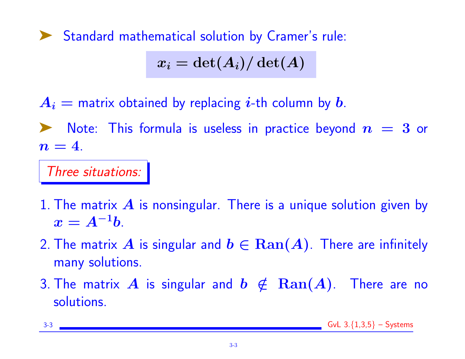➤ Standard mathematical solution by Cramer's rule:

$$
x_i=\det(A_i)/\det(A)
$$

 $A_i$  = matrix obtained by replacing *i*-th column by *b*.

Note: This formula is useless in practice beyond  $\bm{n}~=~\bm{3}$  or  $n=4$ .

Three situations:

- 1. The matrix  $\bm{A}$  is nonsingular. There is a unique solution given by  $x = A^{-1}b.$
- 2. The matrix A is singular and  $b \in \text{Ran}(A)$ . There are infinitely many solutions.
- 3. The matrix A is singular and  $b \notin \text{Ran}(A)$ . There are no solutions.

|--|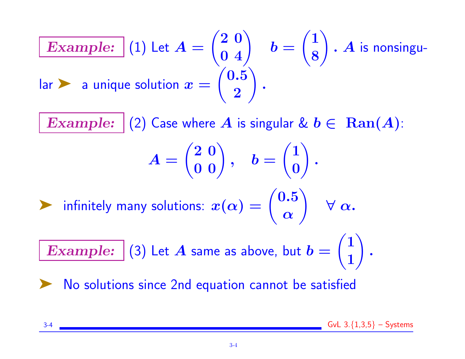**Example:** (1) Let 
$$
A = \begin{pmatrix} 2 & 0 \ 0 & 4 \end{pmatrix}
$$
  $b = \begin{pmatrix} 1 \ 8 \end{pmatrix}$ . A is nonsingular  
\n**Example:** (2) Case where A is singular &  $b \in \text{Ran}(A)$ :  
\n
$$
A = \begin{pmatrix} 2 & 0 \ 0 & 0 \end{pmatrix}, \quad b = \begin{pmatrix} 1 \ 0 \end{pmatrix}.
$$
\n**Similarly, many solutions:**  $x(\alpha) = \begin{pmatrix} 0.5 \ \alpha \end{pmatrix}$   $\forall \alpha$ .

Example:  $(3)$  Let  $A$  same as above, but  $b=$ 1 .

▶ No solutions since 2nd equation cannot be satisfied

3-4  $\sim$  GvL 3. $\{1,3,5\}$  – Systems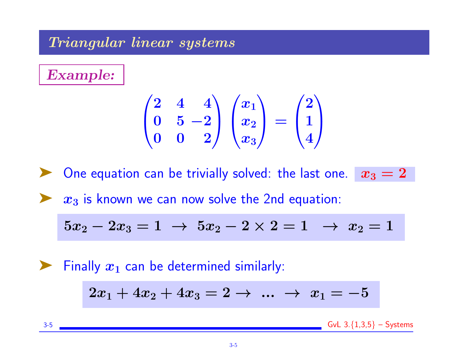#### Triangular linear systems

Example:

$$
\begin{pmatrix} 2 & 4 & 4 \ 0 & 5 & -2 \ 0 & 0 & 2 \end{pmatrix} \begin{pmatrix} x_1 \ x_2 \ x_3 \end{pmatrix} = \begin{pmatrix} 2 \ 1 \ 4 \end{pmatrix}
$$

One equation can be trivially solved: the last one.

$$
x_3=2
$$

 $\triangleright$   $x_3$  is known we can now solve the 2nd equation:

$$
5x_2 - 2x_3 = 1 \ \to \ 5x_2 - 2 \times 2 = 1 \ \ \to \ x_2 = 1
$$

 $\blacktriangleright$  Finally  $x_1$  can be determined similarly:  $2x_1 + 4x_2 + 4x_3 = 2 \rightarrow \dots \rightarrow x_1 = -5$ 3-5  $GvL$  3. ${1,3,5}$  – Systems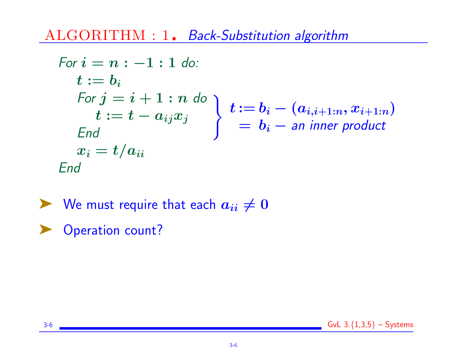ALGORITHM : 1. Back-Substitution algorithm

For 
$$
i = n : -1 : 1
$$
 do:  
\n $t := b_i$   
\nFor  $j = i + 1 : n$  do  
\n $t := t - a_{ij}x_j$   
\nEnd  
\n $x_i = t/a_{ii}$   
\nEnd  
\n
$$
x_i = t/a_{ii}
$$
\n
$$
x_i = t/a_{ii}
$$

 $\blacktriangleright$  We must require that each  $a_{ii} \neq 0$ 

Operation count?

3-6 GvL  $3.\{1,3,5\}$  – Systems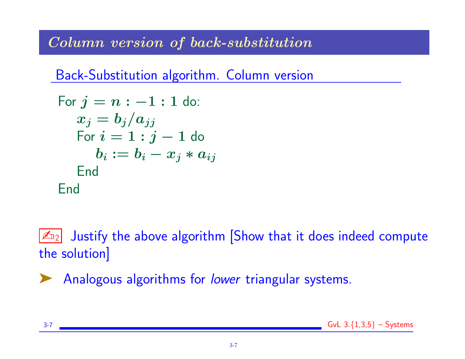# Column version of back-substitution

Back-Substitution algorithm. Column version

For 
$$
j = n : -1 : 1
$$
 do:  $x_j = b_j/a_{jj}$  For  $i = 1 : j - 1$  do  $b_i := b_i - x_j * a_{ij}$  End

 $\mathbb{Z}_{2}$  Justify the above algorithm Show that it does indeed compute the solution]

Analogous algorithms for lower triangular systems.

3-7 GvL  $3.\{1,3,5\}$  – Systems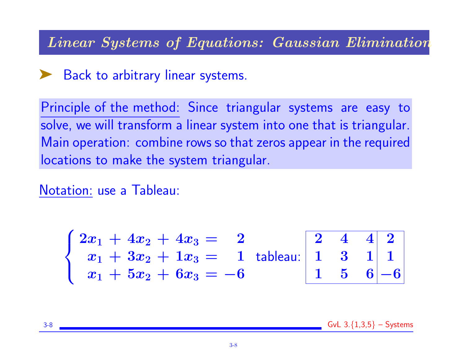#### Linear Systems of Equations: Gaussian Elimination

# ► Back to arbitrary linear systems.

Principle of the method: Since triangular systems are easy to solve, we will transform a linear system into one that is triangular. Main operation: combine rows so that zeros appear in the required locations to make the system triangular.

Notation: use a Tableau:

$$
\begin{cases} 2x_1 + 4x_2 + 4x_3 = 2 \\ x_1 + 3x_2 + 1x_3 = 1 \\ x_1 + 5x_2 + 6x_3 = -6 \end{cases}
$$
tableau: 
$$
\begin{bmatrix} 2 & 4 & 4 & 2 \\ 1 & 3 & 1 & 1 \\ 1 & 5 & 6 & -6 \end{bmatrix}
$$

3-8  $\sim$  GvL 3. $\{1,3,5\}$  – Systems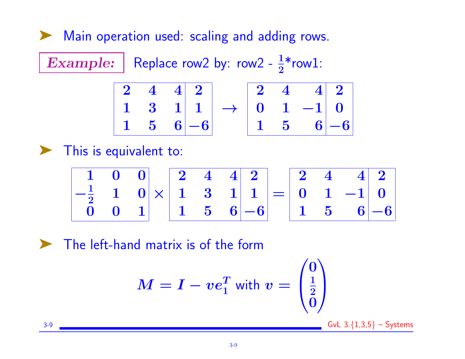▶ Main operation used: scaling and adding rows.

Example: Replace row2 by: row2 -  $\frac{1}{2}$ \*row1:  $\begin{array}{ccc|c} 2 & 4 & 4 & 2 \end{array}$  $\begin{array}{ccc|c} 1 & 3 & 1 & 1 \end{array}$  $1 \quad 5 \quad 6 \mid -6$  $\rightarrow$  $\begin{array}{ccc|c} 2 & 4 & 4 & 2 \end{array}$  $0 \quad 1 \quad -1 \quad 0$  $1 \quad 5 \quad 6 \, -6$ 

This is equivalent to:

$$
\begin{array}{|c|c|c|c|c|c|c|c|} \hline 1 & 0 & 0 & 2 & 4 & 4 & 2 \\ \hline -\frac{1}{2} & 1 & 0 & 1 & 3 & 1 & 1 \\ \hline 0 & 0 & 1 & 1 & 5 & 6 & -6 \\ \hline \end{array}=\begin{array}{|c|c|c|c|c|c|c|c|} \hline 2 & 4 & 4 & 2 \\ 0 & 1 & -1 & 0 & 0 \\ \hline 1 & 5 & 6 & -6 & 0 \\ \hline \end{array}
$$

The left-hand matrix is of the form

$$
M = I - ve_1^T \text{ with } v = \begin{pmatrix} 0 \\ \frac{1}{2} \\ 0 \end{pmatrix}
$$

 $3-9$  GvL  $3.\{1,3,5\}$  – Systems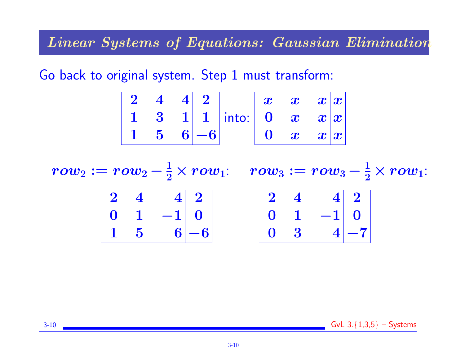### Linear Systems of Equations: Gaussian Elimination

Go back to original system. Step 1 must transform:

$$
\begin{array}{|c|c|c|c|c|}\hline2&4&4&2\\1&3&1&1\\1&5&6&-6\\\hline \end{array}\text{into:}\begin{array}{|c|c|c|c|}\hline x&x&x&x\\0&x&x&x\\0&x&x&x\\\hline \end{array}
$$

 $row_2 := row_2 - \frac{1}{2} \times row_1: \quad row_3 := row_3 - \frac{1}{2} \times row_1:$ 

|  | $\begin{array}{ c c c c c }\n\hline\n2 & 4 & 4 & 2\n\end{array}$ |  | $\begin{array}{ c c c c c c }\n\hline\n2 & 4 & 4 & 2\n\end{array}$ |
|--|------------------------------------------------------------------|--|--------------------------------------------------------------------|
|  | $\begin{array}{ c c c c c c } \hline 0 & 1 & -1 & 0 \end{array}$ |  | $\begin{vmatrix} 0 & 1 & -1 \end{vmatrix}$                         |
|  | $\begin{vmatrix} 1 & 5 & 6 \end{vmatrix}$ -6                     |  | $\begin{vmatrix} 0 & 3 & 4 & -7 \end{vmatrix}$                     |

3-10  $GvL$  3. $\{1,3,5\}$  – Systems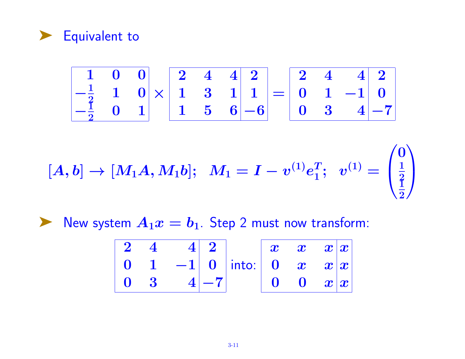

$$
\begin{array}{|c|c|c|c|c|c|c|c|} \hline 1 & 0 & 0 \\ \hline -\frac{1}{2} & 1 & 0 \\ \hline -\frac{1}{2} & 0 & 1 \\ \hline \end{array} \times \begin{bmatrix} 2 & 4 & 4 & 2 \\ 1 & 3 & 1 & 1 \\ \hline 1 & 5 & 6 & -6 \\ \hline \end{bmatrix} = \begin{bmatrix} 2 & 4 & 4 & 2 \\ 0 & 1 & -1 & 0 \\ 0 & 3 & 4 & -7 \\ \hline \end{bmatrix}
$$

$$
[A,b]\to [M_1A,M_1b];\ \ M_1=I-v^{(1)}e_1^T;\ \ v^{(1)}=\begin{pmatrix}0\\\frac{1}{2}\\\frac{1}{2}\end{pmatrix}
$$

▶ New system  $A_1x = b_1$ . Step 2 must now transform:

$$
\begin{array}{|c|c|c|c|c|c|} \hline 2&4&4&2 \\ \hline 0&1&-1&0 \\ \hline 0&3&4&-7 \\\hline \end{array} \text{into:} \begin{array}{|c|c|c|c|} \hline x&x&x&x \\ \hline 0&x&x& \\ \hline 0&0&x& \\ \hline \end{array}
$$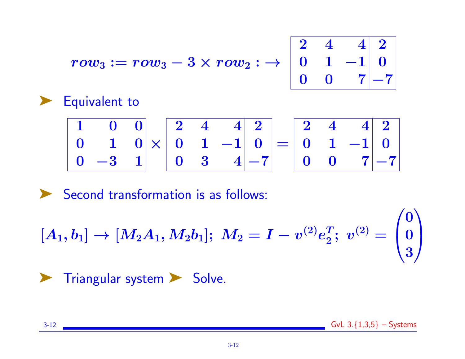$$
\begin{array}{|c|c|c|}\n\hline\n2 & 4 & 4 & 2 \\
0 & 1 & -1 & 0 \\
0 & 0 & 7 & -7 \\
\hline\n\end{array}
$$

$$
row_3 := row_3 - 3 \times row_2 : \rightarrow
$$



Second transformation is as follows:

 $\left[ A_1, b_1 \right] \rightarrow \left[ M_2 A_1, M_2 b_1 \right]; \ M_2 = I - v^{(2)} e_2^T$  $\frac{T}{2}; \; v^{(2)} =$  $\sqrt{ }$  $\overline{ }$ 0 0 3  $\setminus$  $\overline{\phantom{a}}$ 

➤ Triangular system ➤ Solve.

3-12 GvL 3.{1,3,5} – Systems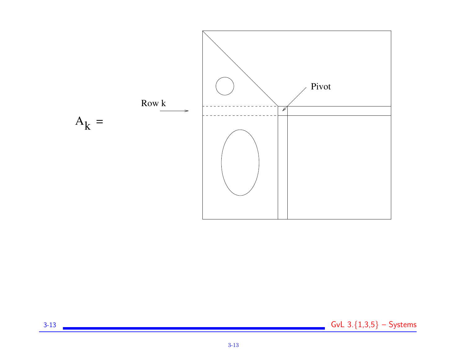

3-13 GvL 3.  ${1,3,5}$  – Systems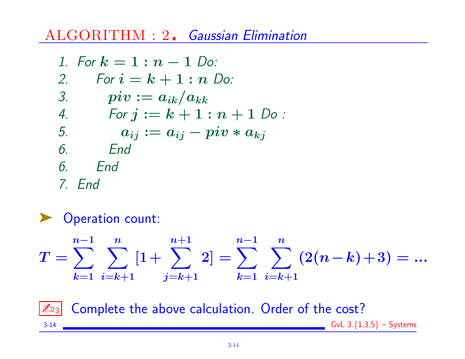# ALGORITHM : 2. Gaussian Elimination

1. For 
$$
k = 1 : n - 1
$$
 Do:  
\n2. For  $i = k + 1 : n$  Do:  
\n3. piv :=  $a_{ik}/a_{kk}$   
\n4. For  $j := k + 1 : n + 1$  Do:  
\n5.  $a_{ij} := a_{ij} - piv * a_{kj}$   
\n6. End  
\n7. End

▶ Operation count:  $T=\sum$  $n-1$  $k=1$   $i=k+1$   $j=k+1$   $k=1$   $i=k+1$  $\sum$  $\boldsymbol{n}$  $\left[1+\right.$  $n{+}1$  $2] = \sum$  $n-1$  $\sum$  $\boldsymbol{n}$  $(2(n-k)+3) = ...$ 

 $|\mathcal{L}_{13}|$  Complete the above calculation. Order of the cost? 3-14  $\sim$  GvL 3. $\{1,3,5\}$  – Systems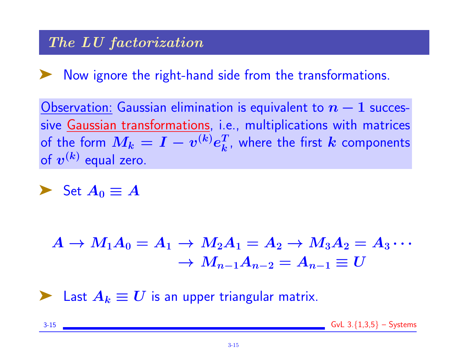### The LU factorization

Now ignore the right-hand side from the transformations.

Observation: Gaussian elimination is equivalent to  $n-1$  successive Gaussian transformations, i.e., multiplications with matrices of the form  $M_k = I - v^{(k)} e_k^T$  $\frac{T}{k}$ , where the first  $\bm{k}$  components of  $\boldsymbol{v^{(k)}}$  equal zero.

$$
\blacktriangleright \text{ Set } A_0 \equiv A
$$

$$
A\rightarrow M_1A_0=A_1\rightarrow M_2A_1=A_2\rightarrow M_3A_2=A_3\cdots\\ \rightarrow M_{n-1}A_{n-2}=A_{n-1}\equiv U
$$

∟ast  $A_k \equiv U$  is an upper triangular matrix.

3-15  $\sim$  GvL 3. $\{1,3,5\}$  – Systems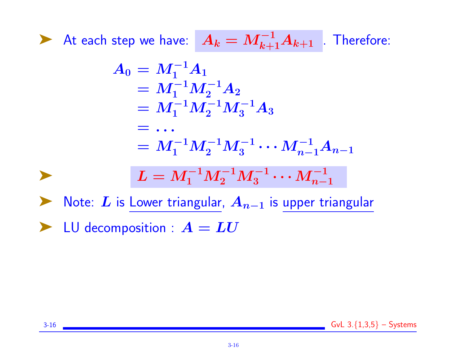▶ At each step we have:  $A_k = M_{k+1}^{-1}A_{k+1}$  . Therefore:

$$
A_0 = M_1^{-1} A_1
$$
  
=  $M_1^{-1} M_2^{-1} A_2$   
=  $M_1^{-1} M_2^{-1} M_3^{-1} A_3$   
= ...  
=  $M_1^{-1} M_2^{-1} M_3^{-1} \cdots M_{n-1}^{-1} A_{n-1}$   

$$
L = M_1^{-1} M_2^{-1} M_3^{-1} \cdots M_{n-1}^{-1}
$$

Note: L is Lower triangular,  $A_{n-1}$  is upper triangular  $\blacktriangleright$  LU decomposition :  $A = LU$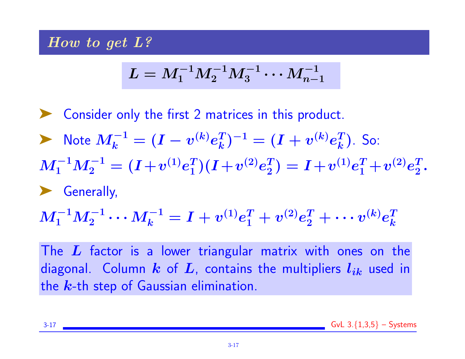#### How to get L?

$$
L=M_1^{-1}M_2^{-1}M_3^{-1}\cdots M_{n-1}^{-1}
$$

➤ Consider only the first 2 matrices in this product. ▶ Note  $M_k^{-1} = (I - v^{(k)} e_k^T)$  $\binom{T}{k}^{-1} = (I + v^{(k)}e_k^T)$  $\binom{T}{k}$ . So:  $M_1^{-1}M_2^{-1}=(I+v^{(1)}e_1^T)$  $\binom{T}{1} (I + v^{(2)} e_2^T$  $\left( \frac{T}{2}\right) = I + v^{(1)} e_1^T + v^{(2)} e_2^T$  $\frac{T}{2}$  . ➤ Generally,  $M_1^{-1}M_2^{-1}\cdots M_k^{-1}=I+v^{(1)}e_1^T+v^{(2)}e_2^T+\cdots v^{(k)}e_k^T$ k

The  $L$  factor is a lower triangular matrix with ones on the diagonal. Column k of L, contains the multipliers  $l_{ik}$  used in the  $k$ -th step of Gaussian elimination.

3-17  $\sim$  GvL 3. $\{1,3,5\}$  – Systems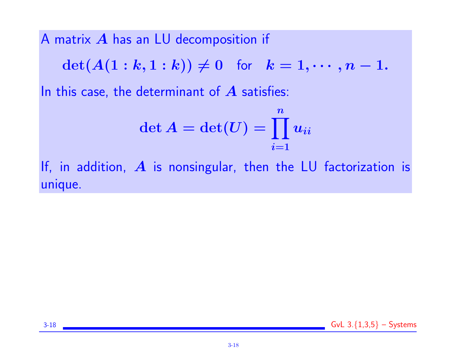A matrix A has an LU decomposition if

 $\det(A(1 : k, 1 : k)) \neq 0$  for  $k = 1, \dots, n - 1$ .

In this case, the determinant of  $A$  satisfies:

$$
\det A=\det(U)=\prod_{i=1}^n u_{ii}
$$

If, in addition,  $\boldsymbol{A}$  is nonsingular, then the LU factorization is unique.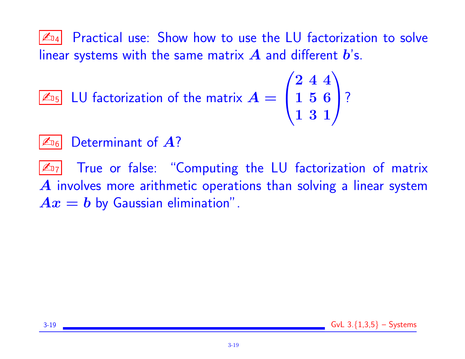$|\mathcal{L}_{D4}|$  Practical use: Show how to use the LU factorization to solve linear systems with the same matrix  $\bm{A}$  and different  $\bm{b}'$ s.

$$
\boxed{\mathbb{Z}_{\text{D5}}} \text{ LU factorization of the matrix } A = \begin{pmatrix} 2 & 4 & 4 \\ 1 & 5 & 6 \\ 1 & 3 & 1 \end{pmatrix}
$$
?

# $\mathbb{Z}_{16}$  Determinant of  $A$ ?

 $|\mathcal{L}_{17}|$  True or false: "Computing the LU factorization of matrix  $\boldsymbol{A}$  involves more arithmetic operations than solving a linear system  $Ax = b$  by Gaussian elimination".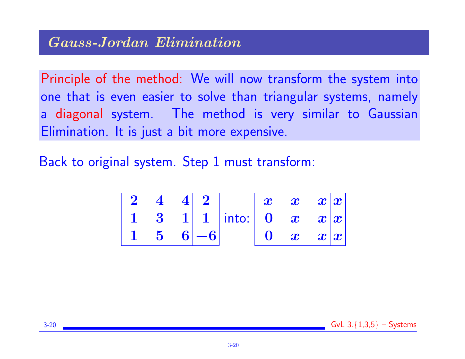Principle of the method: We will now transform the system into one that is even easier to solve than triangular systems, namely a diagonal system. The method is very similar to Gaussian Elimination. It is just a bit more expensive.

Back to original system. Step 1 must transform:

| $2 \quad 4 \quad 4 \quad 2$ |            |                            |  | $\ \boldsymbol{x}-\boldsymbol{x}-\boldsymbol{x}\ \boldsymbol{x}\ $                |
|-----------------------------|------------|----------------------------|--|-----------------------------------------------------------------------------------|
|                             |            | 1 3 1 1 into: 0 $x$ $x x $ |  |                                                                                   |
|                             | $5 \t6 -6$ |                            |  | $\begin{array}{cc} \mathbf{0} & \mathbf{x} & \mathbf{x}   \mathbf{x} \end{array}$ |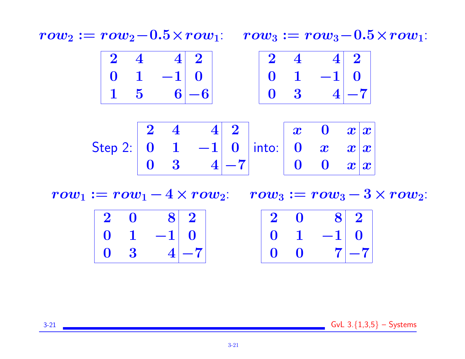$row_2 := row_2-0.5 \times row_1: row_3 := row_3-0.5 \times row_1:$ 



|                                                                                                       |                |  | $\begin{array}{ c c c c c c }\hline 2&4&2&\&\&\&\&\&\end{array}$ |  |  |
|-------------------------------------------------------------------------------------------------------|----------------|--|------------------------------------------------------------------|--|--|
| Step 2: $\begin{vmatrix} 0 & 1 & -1 \end{vmatrix}$ 0  into: $\begin{vmatrix} 0 & x & x \end{vmatrix}$ |                |  |                                                                  |  |  |
|                                                                                                       | $\mathbf{0}$ 3 |  | $\begin{array}{c c} 4 & -7 \\ \end{array}$ 0 0 $x x $            |  |  |

 $row_1 := row_1 - 4 \times row_2: row_3 := row_3 - 3 \times row_2$ :

|  | $\begin{array}{ c c c c c }\hline 2 & 0 & 8 & 2 \ \hline \end{array}$ |  |             | $2 \quad 0 \quad 8 \quad 2$                      |  |
|--|-----------------------------------------------------------------------|--|-------------|--------------------------------------------------|--|
|  | $\begin{array}{cccc} 0 & 1 & -1 & 0 \end{array}$                      |  |             | $\begin{array}{cccc} 0 & 1 & -1 & 0 \end{array}$ |  |
|  | $0 \quad 3 \quad 4 -7 $                                               |  | $0 \quad 0$ | $ 7 -7 $                                         |  |

 $3-21$  GvL  $3.\{1,3,5\}$  – Systems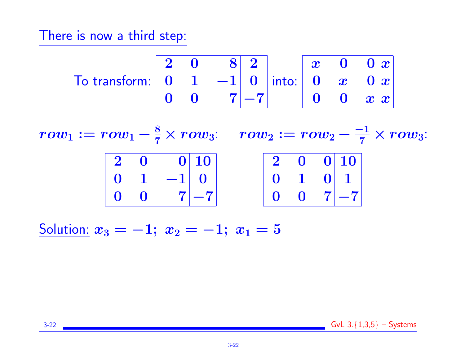There is now a third step:

$$
\text{To transform: } \begin{array}{|c|c|c|c|c|c|} \hline 2 & 0 & 8 & 2 \\ 0 & 1 & -1 & 0 \\ 0 & 0 & 7 & -7 \end{array} \text{ into: } \begin{array}{|c|c|c|c|} \hline x & 0 & 0 & x \\ 0 & x & 0 & x \\ 0 & 0 & x & x \end{array}
$$

 $row_1 := row_1 - \frac{8}{7} \times row_3: \quad row_2 := row_2 - \frac{-1}{7} \times row_3:$  $\begin{array}{ccc|c} 2 & 0 & 0 & 10 \end{array}$  $\begin{array}{ccc|c} 0 & 1 & -1 & 0 \end{array}$  $0 \quad 0 \quad 7|-7$  $2$  0 0 10  $0 \quad 1 \quad 0 \vert 1$  $0 \quad 0 \quad 7$  -7

Solution:  $x_3 = -1; x_2 = -1; x_1 = 5$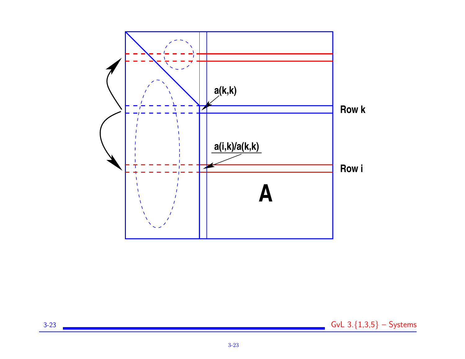

3-23 GvL 3.  ${1,3,5}$  – Systems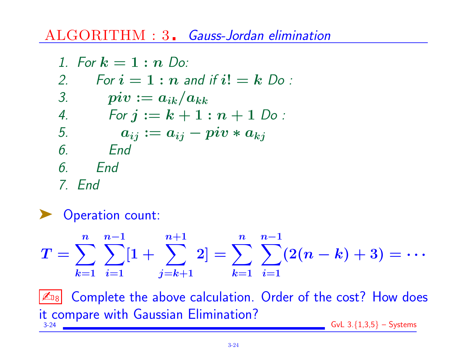# ALGORITHM : 3. Gauss-Jordan elimination

\n- 1. For 
$$
k = 1 : n
$$
 Do:
\n- 2. For  $i = 1 : n$  and if  $i! = k$  Do:
\n- 3. piv :=  $a_{ik}/a_{kk}$
\n- 4. For  $j := k + 1 : n + 1$  Do:
\n- 5.  $a_{ij} := a_{ij} - piv * a_{kj}$
\n- 6. End
\n- 7. End
\n

Operation count:

$$
T = \sum_{k=1}^n \sum_{i=1}^{n-1} [1 + \sum_{j=k+1}^{n+1} 2] = \sum_{k=1}^n \sum_{i=1}^{n-1} (2(n-k) + 3) = \cdots
$$

 $\sqrt{\mathbb{Z}_{B8}}$  Complete the above calculation. Order of the cost? How does it compare with Gaussian Elimination?  $GvL$  3. ${1,3,5}$  – Systems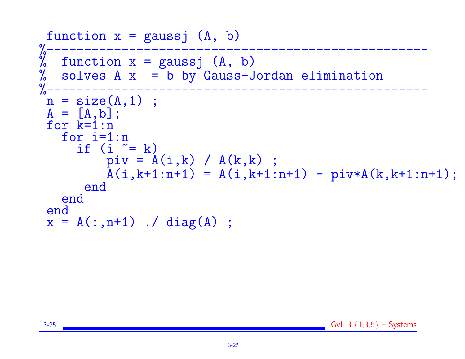```
function x = gaussj (A, b)%---------------------------------------------------
\% function x = gaussj (A, b)% solves A \times = b by Gauss-Jordan elimination
%---------------------------------------------------
n = size(A, 1);
A = [A, b];
for k=1:n
   for i=1:n
     if (i \cong k)pi v = A(i,k) / A(k,k);
         \bar{A}(i,k+1:n+1) = A(i,k+1:n+1) - piv*A(k,k+1:n+1);end
  end
end
x = A(:, n+1) ./ diag(A) ;
```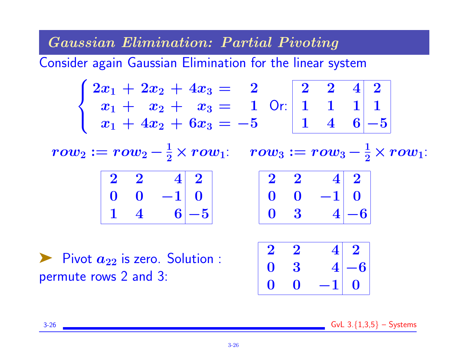Gaussian Elimination: Partial Pivoting

Consider again Gaussian Elimination for the linear system

$$
\begin{cases} 2x_1 + 2x_2 + 4x_3 = 2 \\ x_1 + x_2 + x_3 = 1 \\ x_1 + 4x_2 + 6x_3 = -5 \end{cases}
$$
 Or: 
$$
\begin{bmatrix} 2 & 2 & 4 & 2 \\ 1 & 1 & 1 & 1 \\ 1 & 4 & 6 & -5 \end{bmatrix}
$$

 $row_2 := row_2 - \frac{1}{2} \times row_1: \quad row_3 := row_3 - \frac{1}{2} \times row_1:$ 

| $\mathbf{2}$      |   |        | $\mathbf{4}$   $\mathbf{2}$ |  |
|-------------------|---|--------|-----------------------------|--|
| $\mathbf{\Omega}$ | 0 | $-1$ 0 |                             |  |
|                   |   |        | $6 - 5$                     |  |

| $\mathbf{2}$      | $\mathbf{2}$ | $4 \mid 2 \mid$ |
|-------------------|--------------|-----------------|
| $\mathbf{\Omega}$ | $\bullet$    | $-1$ 0          |
| $\bigcap$         | $\cdot$      | $4 -6 $         |

Pivot  $a_{22}$  is zero. Solution : permute rows 2 and 3:

|                           | $2 \quad 2$    |                                                            |  |
|---------------------------|----------------|------------------------------------------------------------|--|
|                           | $\mathbf{0}$ 3 |                                                            |  |
| $\mathbf{0}$ $\mathbf{0}$ |                | $\begin{array}{c c} 4 & 2 \\ 4 & -6 \\ -1 & 0 \end{array}$ |  |

3-26  $\sim$  GvL 3. $\{1,3,5\}$  – Systems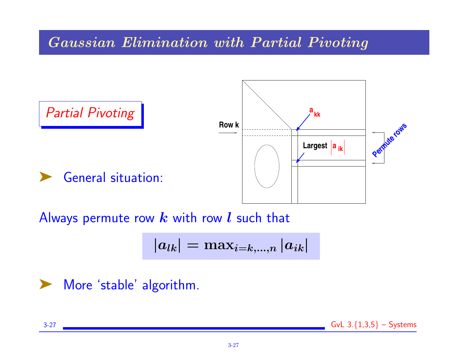### Gaussian Elimination with Partial Pivoting



Always permute row  $k$  with row  $l$  such that

$$
\left|a_{lk}\right|=\max_{i=k,...,n}\left|a_{ik}\right|
$$

#### ➤ More 'stable' algorithm.

 $3-27$  GvL  $3.\{1,3,5\}$  – Systems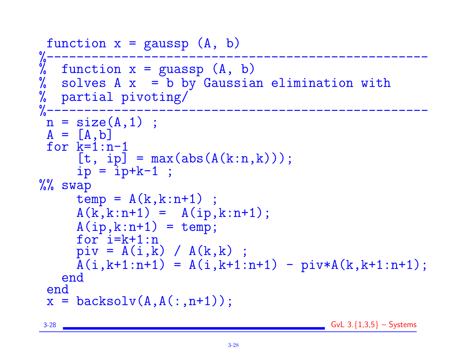```
function x = gaussp (A, b)%---------------------------------------------------
% function x = guassp (A, b)solves A \times = b by Gaussian elimination with
% partial pivoting/<br>%--------------------
%---------------------------------------------------
 n = size(A, 1);
 A = [A, b]for k=1:n-1[t, ip] = max(abs(A(k:n, k)));
     ip = ip+k-1 ;
%% swap
     temp = A(k, k:n+1);
     A(k, k:n+1) = A(ip, k:n+1);A(ip, k:n+1) = temp;for i=k+1:npi = A(i,k) / A(k,k);
     \bar{A}(i,k+1:n+1) = A(i,k+1:n+1) - piv*A(k,k+1:n+1);end
 end
 x = \text{backsolv}(A, A(:, n+1));
```

```
3-28 GvL 3.\{1,3,5\} – Systems
```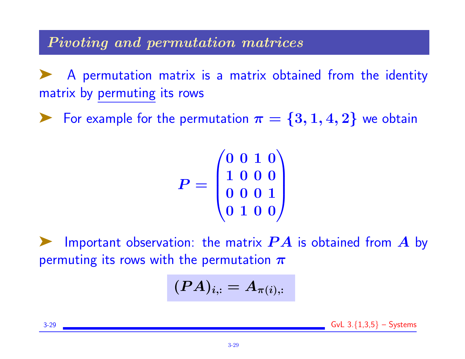Pivoting and permutation matrices

A permutation matrix is a matrix obtained from the identity matrix by permuting its rows

For example for the permutation  $\pi = \{3, 1, 4, 2\}$  we obtain

$$
P=\begin{pmatrix} 0 & 0 & 1 & 0 \\ 1 & 0 & 0 & 0 \\ 0 & 0 & 0 & 1 \\ 0 & 1 & 0 & 0 \end{pmatrix}
$$

Important observation: the matrix  $\bm{P} \bm{A}$  is obtained from  $\bm{A}$  by permuting its rows with the permutation  $\pi$ 

$$
(PA)_{i,:}=A_{\pi(i),:}
$$

3-29  $\sim$  GvL 3. $\{1,3,5\}$  – Systems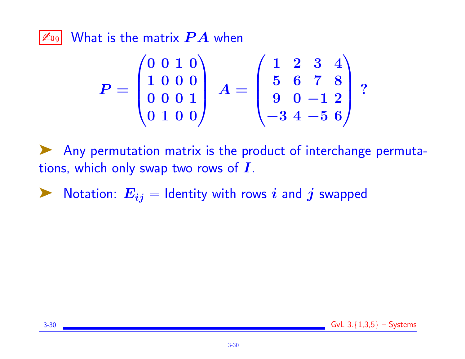$\boxed{\mathbb{Z}_{\text{D9}}}$  What is the matrix  $\bm{P}\bm{A}$  when

$$
P=\begin{pmatrix}0&0&1&0\\1&0&0&0\\0&0&0&1\\0&1&0&0\end{pmatrix}\ A=\begin{pmatrix}1&2&3&4\\5&6&7&8\\9&0&-1&2\\-3&4&-5&6\end{pmatrix}\,?
$$

➤ Any permutation matrix is the product of interchange permutations, which only swap two rows of  $I$ .

 $\blacktriangleright$  Notation:  $E_{ij} =$  Identity with rows i and j swapped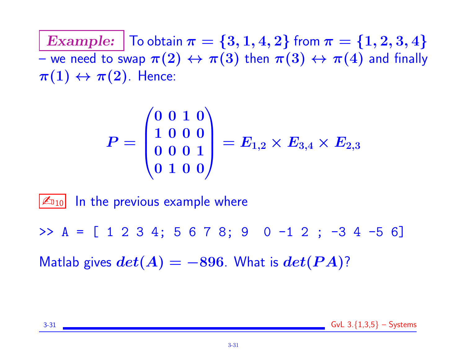Example:  $\vert$  To obtain  $\pi = \{3, 1, 4, 2\}$  from  $\pi = \{1, 2, 3, 4\}$ – we need to swap  $\pi(2) \leftrightarrow \pi(3)$  then  $\pi(3) \leftrightarrow \pi(4)$  and finally  $\pi(1) \leftrightarrow \pi(2)$ . Hence:

$$
P=\begin{pmatrix} 0 & 0 & 1 & 0 \\ 1 & 0 & 0 & 0 \\ 0 & 0 & 0 & 1 \\ 0 & 1 & 0 & 0 \end{pmatrix}=E_{1,2}\times E_{3,4}\times E_{2,3}
$$

 $\mathbb{Z}_{10}$  In the previous example where

 $> A = [ 1 2 3 4; 5 6 7 8; 9 0 -1 2; -3 4 -5 6 ]$ 

Matlab gives  $det(A) = -896$ . What is  $det(PA)$ ?

3-31 **GvL** 3. $\{1,3,5\}$  – Systems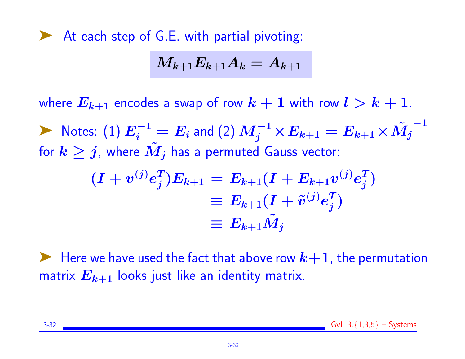▶ At each step of G.E. with partial pivoting:

$$
M_{k+1}E_{k+1}A_k=A_{k+1}\vert
$$

where  $E_{k+1}$  encodes a swap of row  $k+1$  with row  $l > k+1$ .

▶ Notes: (1)  $E_i^{-1} = E_i$  and (2)  $M_j^{-1} \times E_{k+1} = E_{k+1} \times \tilde{M_j}^{-1}$ for  $k \geq j$ , where  $M_j$  has a permuted Gauss vector:

$$
\begin{aligned} (I + v^{(j)} e_j^T) E_{k+1} &= E_{k+1} (I + E_{k+1} v^{(j)} e_j^T) \\ &\equiv E_{k+1} (I + \tilde{v}^{(j)} e_j^T) \\ &\equiv E_{k+1} \tilde{M}_j \end{aligned}
$$

 $\blacktriangleright$  Here we have used the fact that above row  $k+1$ , the permutation matrix  $E_{k+1}$  looks just like an identity matrix.

3-32 GvL 3.{1,3,5} – Systems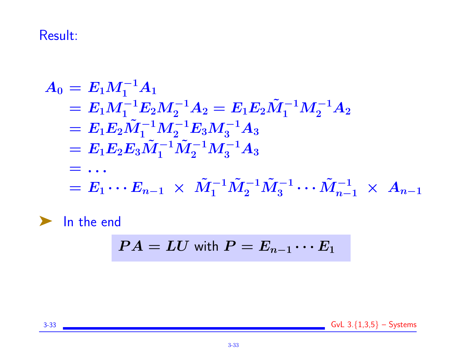# Result:

$$
A_0 = E_1 M_1^{-1} A_1
$$
  
=  $E_1 M_1^{-1} E_2 M_2^{-1} A_2 = E_1 E_2 \tilde{M}_1^{-1} M_2^{-1} A_2$   
=  $E_1 E_2 \tilde{M}_1^{-1} M_2^{-1} E_3 M_3^{-1} A_3$   
=  $E_1 E_2 E_3 \tilde{M}_1^{-1} \tilde{M}_2^{-1} M_3^{-1} A_3$   
= ...  
=  $E_1 \cdots E_{n-1} \times \tilde{M}_1^{-1} \tilde{M}_2^{-1} \tilde{M}_3^{-1} \cdots \tilde{M}_{n-1}^{-1} \times A_{n-1}$   
  
In the end

$$
PA = LU \text{ with } P = E_{n-1} \cdots E_1
$$

3-33 GvL  $3.\{1,3,5\}$  – Systems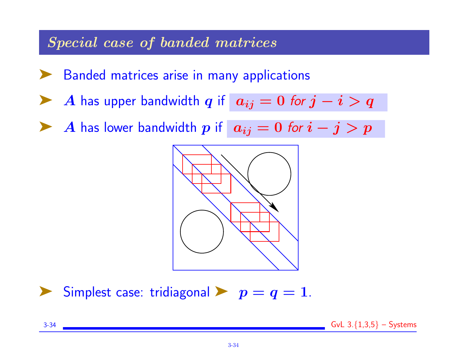#### Special case of banded matrices

- Banded matrices arise in many applications
- A has upper bandwidth q if  $a_{ij} = 0$  for  $j i > q$
- A has lower bandwidth p if  $|a_{ij} = 0$  for  $i j > p$



Simplest case: tridiagonal  $\blacktriangleright$   $p = q = 1$ .

3-34  $\sim$  GvL 3. $\{1,3,5\}$  – Systems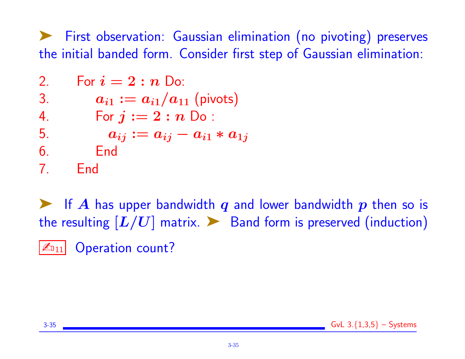➤ First observation: Gaussian elimination (no pivoting) preserves the initial banded form. Consider first step of Gaussian elimination:

2. For 
$$
i = 2 : n
$$
 Do:  
\n3.  $a_{i1} := a_{i1}/a_{11}$  (pivots)  
\n4. For  $j := 2 : n$  Do:  
\n5.  $a_{ij} := a_{ij} - a_{i1} * a_{1j}$   
\n6. End  
\n7. End

**EX** If A has upper bandwidth q and lower bandwidth  $p$  then so is the resulting  $[L/U]$  matrix.  $\triangleright$  Band form is preserved (induction)  $|\mathcal{L}_{011}|$  Operation count?